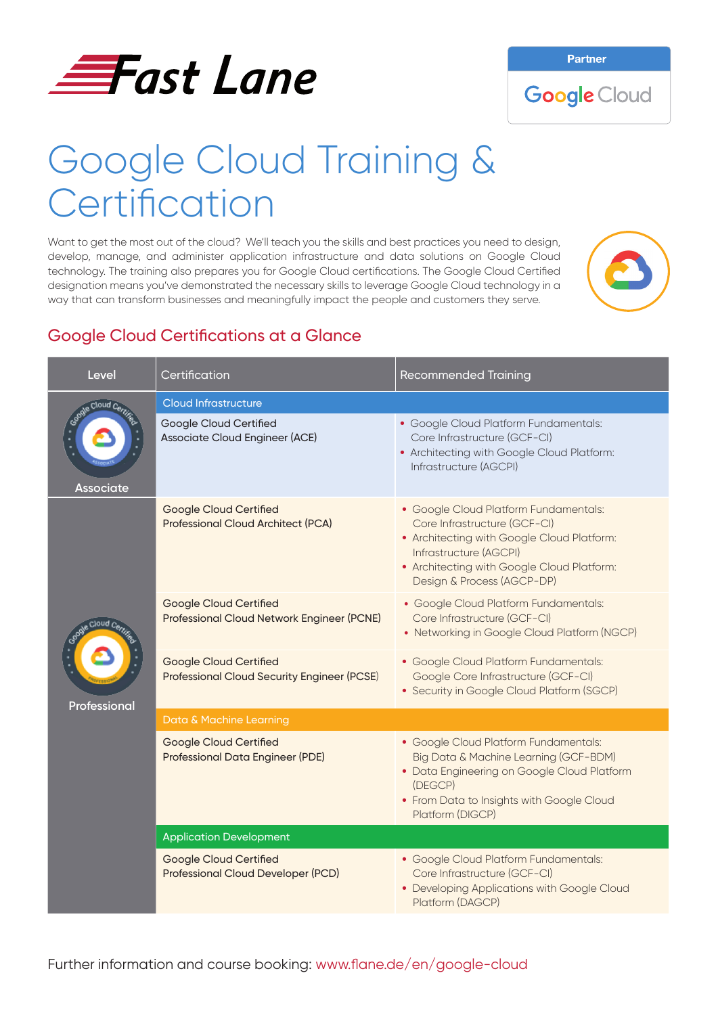# *Fast Lane*

**Partner** 

**Google** Cloud

# Google Cloud Training & **Certification**

Want to get the most out of the cloud? We'll teach you the skills and best practices you need to design, develop, manage, and administer application infrastructure and data solutions on Google Cloud technology. The training also prepares you for Google Cloud certifications. The Google Cloud Certified designation means you've demonstrated the necessary skills to leverage Google Cloud technology in a way that can transform businesses and meaningfully impact the people and customers they serve.



## Google Cloud Certifications at a Glance

| Level                 | Certification                                                                | <b>Recommended Training</b>                                                                                                                                                                                               |  |  |  |  |  |  |
|-----------------------|------------------------------------------------------------------------------|---------------------------------------------------------------------------------------------------------------------------------------------------------------------------------------------------------------------------|--|--|--|--|--|--|
| Crong C               | Cloud Infrastructure                                                         |                                                                                                                                                                                                                           |  |  |  |  |  |  |
| <b>Associate</b>      | Google Cloud Certified<br>Associate Cloud Engineer (ACE)                     | • Google Cloud Platform Fundamentals:<br>Core Infrastructure (GCF-CI)<br>• Architecting with Google Cloud Platform:<br>Infrastructure (AGCPI)                                                                             |  |  |  |  |  |  |
| cloud<br>Professional | <b>Google Cloud Certified</b><br>Professional Cloud Architect (PCA)          | • Google Cloud Platform Fundamentals:<br>Core Infrastructure (GCF-CI)<br>• Architecting with Google Cloud Platform:<br>Infrastructure (AGCPI)<br>• Architecting with Google Cloud Platform:<br>Design & Process (AGCP-DP) |  |  |  |  |  |  |
|                       | <b>Google Cloud Certified</b><br>Professional Cloud Network Engineer (PCNE)  | • Google Cloud Platform Fundamentals:<br>Core Infrastructure (GCF-CI)<br>• Networking in Google Cloud Platform (NGCP)                                                                                                     |  |  |  |  |  |  |
|                       | <b>Google Cloud Certified</b><br>Professional Cloud Security Engineer (PCSE) | • Google Cloud Platform Fundamentals:<br>Google Core Infrastructure (GCF-CI)<br>• Security in Google Cloud Platform (SGCP)                                                                                                |  |  |  |  |  |  |
|                       | Data & Machine Learning                                                      |                                                                                                                                                                                                                           |  |  |  |  |  |  |
|                       | <b>Google Cloud Certified</b><br>Professional Data Engineer (PDE)            | • Google Cloud Platform Fundamentals:<br>Big Data & Machine Learning (GCF-BDM)<br>• Data Engineering on Google Cloud Platform<br>(DEGCP)<br>• From Data to Insights with Google Cloud<br>Platform (DIGCP)                 |  |  |  |  |  |  |
|                       | <b>Application Development</b>                                               |                                                                                                                                                                                                                           |  |  |  |  |  |  |
|                       | <b>Google Cloud Certified</b><br>Professional Cloud Developer (PCD)          | • Google Cloud Platform Fundamentals:<br>Core Infrastructure (GCF-CI)<br>• Developing Applications with Google Cloud<br>Platform (DAGCP)                                                                                  |  |  |  |  |  |  |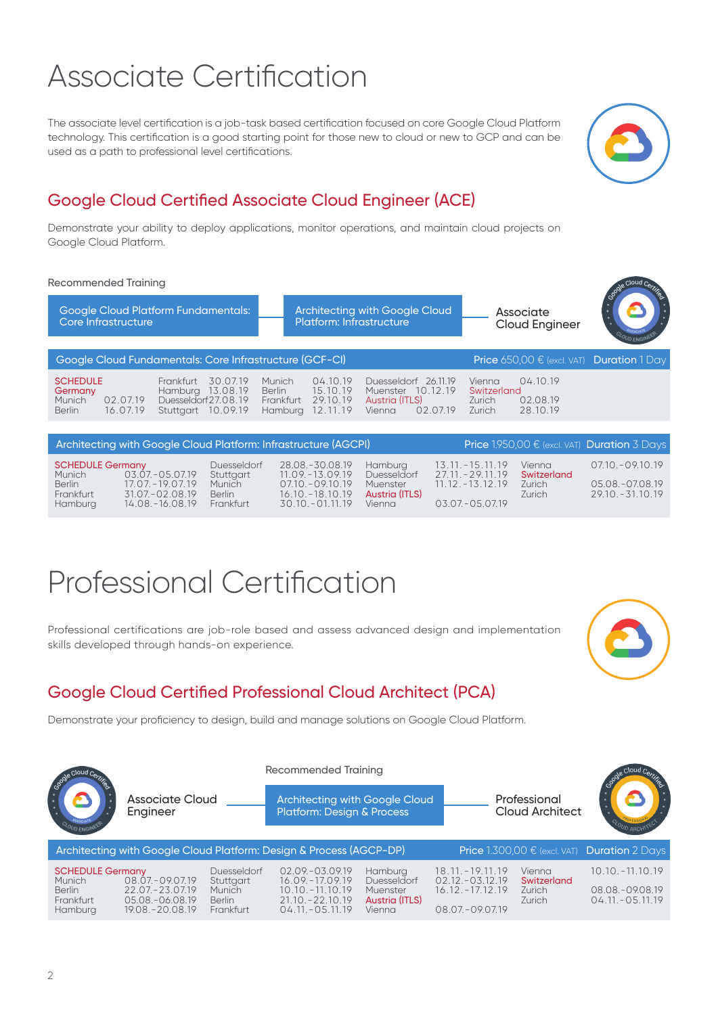## Associate Certification

The associate level certification is a job-task based certification focused on core Google Cloud Platform technology. This certification is a good starting point for those new to cloud or new to GCP and can be used as a path to professional level certifications.



## Google Cloud Certified Associate Cloud Engineer (ACE)

Demonstrate your ability to deploy applications, monitor operations, and maintain cloud projects on Google Cloud Platform.

> Frankfurt 29.10.19 Hamburg 12.11.19

#### Recommended Training

Munich 02.07.19 Berlin 16.07.19

| Core Infrastructure        | Google Cloud Platform Fundamentals:                     |                         | Architecting with Google Cloud<br>Platform: Infrastructure |                                              | Associate<br>Cloud Engineer                   |  |
|----------------------------|---------------------------------------------------------|-------------------------|------------------------------------------------------------|----------------------------------------------|-----------------------------------------------|--|
|                            | Google Cloud Fundamentals: Core Infrastructure (GCF-CI) |                         |                                                            |                                              | Price $650,00 \in$ (excl. VAT) Duration 1 Day |  |
| <b>SCHEDULE</b><br>Germany | Frankfurt 30.07.19<br>Hamburg 13.08.19                  | <b>Munich</b><br>Berlin | 04.10.19<br>15.10.19                                       | Duesseldorf 26.11.19<br>10.12.19<br>Muenster | 04.10.19<br>Vienna<br>Switzerland             |  |

Austria (ITLS) Vienna 02.07.19 Zurich<br>Zurich

Zurich 02.08.19 Zurich 28.10.19

| Architecting with Google Cloud Platform: Infrastructure (AGCPI)<br><b>Price</b> 1.950,00 $\epsilon$ (excl. VAT) <b>Duration</b> 3 Days |                                                                                    |                                                           |                                                                                                           |                                                                       |                                                                                      |                                            |                                                               |
|----------------------------------------------------------------------------------------------------------------------------------------|------------------------------------------------------------------------------------|-----------------------------------------------------------|-----------------------------------------------------------------------------------------------------------|-----------------------------------------------------------------------|--------------------------------------------------------------------------------------|--------------------------------------------|---------------------------------------------------------------|
| <b>SCHEDULE Germany</b><br>Munich<br>Berlin<br>Frankfurt<br>Hamburg                                                                    | 03.07. - 05.07.19<br>$17.07 - 19.07.19$<br>$31.07 - 02.08.19$<br>14.08. - 16.08.19 | Duesseldorf<br>Stuttgart<br>Munich<br>Berlin<br>Frankfurt | 28.08. - 30.08.19<br>$11.09 - 13.09.19$<br>$07.10 - 09.10.19$<br>$16.10 - 18.10.19$<br>$30.10 - 01.11.19$ | Hamburg<br><b>Duesseldorf</b><br>Muenster<br>Austria (ITLS)<br>Vienna | $13.11 - 15.11.19$<br>$27.11 - 29.11.19$<br>$11.12 - 13.12.19$<br>$03.07 - 05.07.19$ | Vienna<br>Switzerland<br>Zurich<br>Zurich. | $07.10 - 09.10.19$<br>05.08. - 07.08.19<br>$29.10 - 31.10.19$ |

## Professional Certification

Duesseldorf27.08.19 Stuttgart 10.09.19

Professional certifications are job-role based and assess advanced design and implementation skills developed through hands-on experience.



## Google Cloud Certified Professional Cloud Architect (PCA)

Demonstrate your proficiency to design, build and manage solutions on Google Cloud Platform.

| ہ cloud                                  |                                        |                                             | Recommended Training                                                |                               |                                          |                       |                                                                     |  |
|------------------------------------------|----------------------------------------|---------------------------------------------|---------------------------------------------------------------------|-------------------------------|------------------------------------------|-----------------------|---------------------------------------------------------------------|--|
|                                          | <b>Associate Cloud</b><br>Engineer     |                                             | <b>Architecting with Google Cloud</b><br>Platform: Design & Process |                               | Professional<br>Cloud Architect          |                       |                                                                     |  |
|                                          |                                        |                                             |                                                                     |                               |                                          |                       |                                                                     |  |
|                                          |                                        |                                             | Architecting with Google Cloud Platform: Design & Process (AGCP-DP) |                               |                                          |                       | <b>Price</b> 1.300,00 $\epsilon$ (excl. VAT) <b>Duration</b> 2 Days |  |
| <b>SCHEDULE Germany</b><br><b>Munich</b> | 08.07. - 09.07.19                      | <b>Duesseldorf</b>                          | $02.09 - 03.09.19$<br>$16.09 - 17.09.19$                            | Hamburg<br><b>Duesseldorf</b> | $18.11 - 19.11.19$<br>$02.12 - 03.12.19$ | Vienna<br>Switzerland | $10.10 - 11.10.19$                                                  |  |
| <b>Berlin</b><br>Frankfurt               | 22.07. - 23.07.19<br>05.08. - 06.08.19 | Stuttgart<br><b>Munich</b><br><b>Berlin</b> | $10.10 - 11.10.19$<br>$21.10 - 22.10.19$                            | Muenster<br>Austria (ITLS)    | $16.12 - 17.12.19$                       | Zurich<br>Zurich      | 08.08. - 09.08.19<br>$04.11 - 05.11.19$                             |  |
| Hambura                                  | 19.08. - 20.08.19                      | Frankfurt                                   | $04.11 - 05.11.19$                                                  | Vienna                        | $08.07 - 09.07.19$                       |                       |                                                                     |  |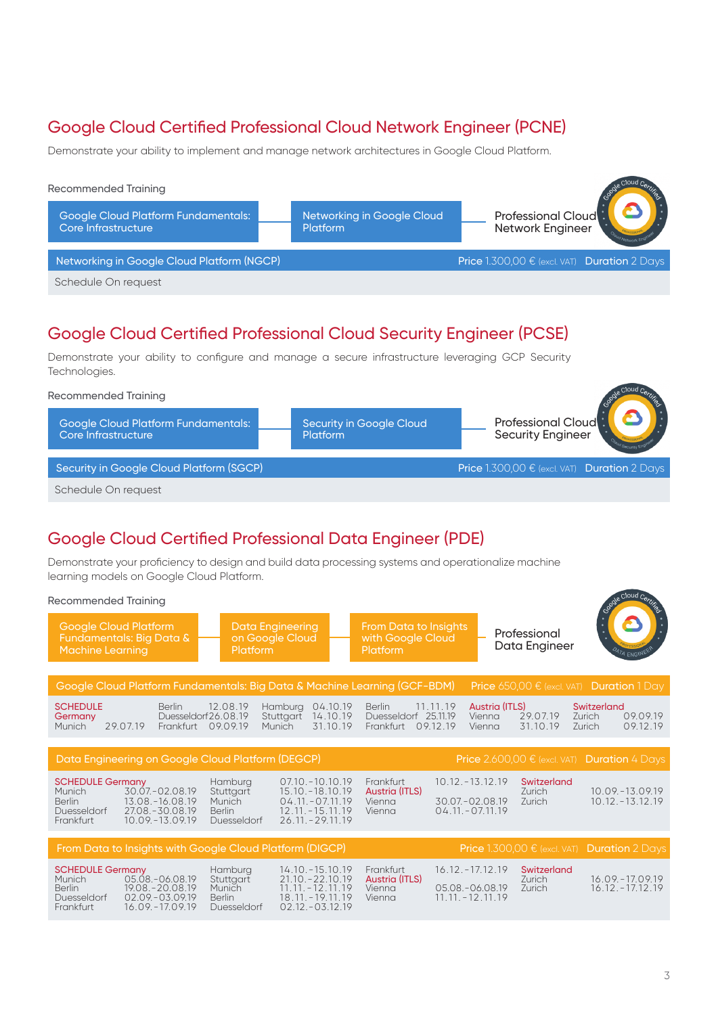## Google Cloud Certified Professional Cloud Network Engineer (PCNE)

Demonstrate your ability to implement and manage network architectures in Google Cloud Platform.



#### Google Cloud Certified Professional Cloud Security Engineer (PCSE)

Demonstrate your ability to configure and manage a secure infrastructure leveraging GCP Security Technologies.



## Google Cloud Certified Professional Data Engineer (PDE)

Demonstrate your proficiency to design and build data processing systems and operationalize machine learning models on Google Cloud Platform.

**SCHEDULE Germany**<br>Munich 30.0 Munich 30.07.-02.08.19<br>Berlin 13.08.-16.08.19 Berlin 13.08.-16.08.19<br>Duesseldorf 27.08.-30.08.19 Duesseldorf 27.08.-30.08.19<br>Frankfurt 10.09.-13.09.19 Frankfurt 10.09.-13.09.19 Hamburg 07.10.-10.10.19<br>Stuttgart 15.10.-18.10.19 Stuttgart 15.10.-18.10.19<br>Munich 04.11.-07.11.19 Munich 04.11.-07.11.19<br>Rerlin 12.11.-15.11.19 Berlin 12.11.-15.11.19<br>Duesseldorf 26.11.-29.11.19 26. 11. - 29. 11. 19 Frankfurt 10.12.-13.12.19 Austria (ITLS)<br>Vienna Vienna 30.07.-02.08.19<br>Vienna 04.11.-07.11.19 04.11.-07.11.19 Switzerland<br>Zurich <u>2</u>urich 10.09.-13.09.19<br>2urich 10.12 -13.12.19 10.12.-13.12.19 Data Engineering on Google Cloud Platform (DEGCP) Price 2.600.00 € (excl. VAT) Duration 4 Days **SCHEDULE Germany**<br>Munich 29.07.19 Berlin 12.08.19 Duesseldorf26.08.19 Frankfurt 09.09.19 Hamburg 04.10.19<br>Stuttgart 14.10.19 Stuttgart 14.10.19<br>Munich 31.10.19 Munich Berlin 11.11.19 Duesseldorf<br>Frankfurt ( Frankfurt 25.11.19<br>19.12.19 Austria (ITLS)<br>Vienna 2 Vienna 29.07.19<br>Vienna 31.10.19 31.10.19 Switzerland<br>Zurich **Zurich** 09.09.19<br> **Zurich** 09.12.19  $0912.19$ Google Cloud Platform Fundamentals: Big Data & Machine Learning (GCF-BDM) Price 650,00 € (excl. VAT) Duration 1 Day Google Cloud Platform Fundamentals: Big Data & Data Engineering on Google Cloud Recommended Training Professional Data Engineer SCHEDULE Germany Munich 05.08.-06.08.19 Berlin 19.08.-20.08.19 Berlin 19.08.-20.08.19<br>Duesseldorf 02.09.-03.09.19<br>Frankfurt 16.09 -17.09.19 Frankfurt 16.09.-17.09.19 Hamburg 14.10.-15.10.19 Stuttgart 21.10.-22.10.19 Munich 11.11.-12.11.19 Berlin 1 8 . 1 1 . - 1 9. 1 1 . 1 9 Duesseldorf 02.12.-03.12.19 Frankfurt 16.12. - 17.12.19<br>Austria (ITLS) Vienna 05.08.-06.08.19 Vienna 11.11.-12.11.19 **Switzerland<br>
Zurich 16.09.-17.09.19<br>
Zurich 16.12.-17.12.19**  $16.12 - 17.12.19$ From Data to Insights with Google Cloud Platform (DIGCP) Price 1.300,00 € (excl. VAT) Duration 2 Days From Data to Insights with Google Cloud